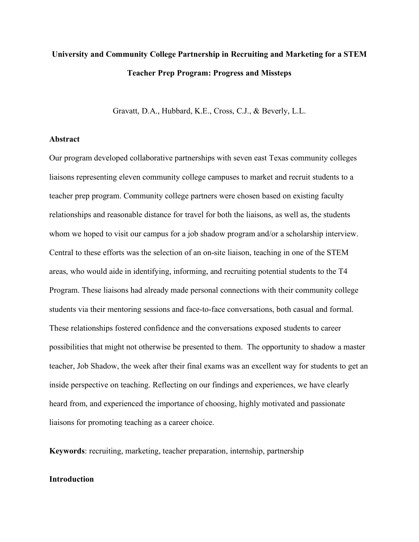# **University and Community College Partnership in Recruiting and Marketing for a STEM Teacher Prep Program: Progress and Missteps**

Gravatt, D.A., Hubbard, K.E., Cross, C.J., & Beverly, L.L.

## **Abstract**

Our program developed collaborative partnerships with seven east Texas community colleges liaisons representing eleven community college campuses to market and recruit students to a teacher prep program. Community college partners were chosen based on existing faculty relationships and reasonable distance for travel for both the liaisons, as well as, the students whom we hoped to visit our campus for a job shadow program and/or a scholarship interview. Central to these efforts was the selection of an on-site liaison, teaching in one of the STEM areas, who would aide in identifying, informing, and recruiting potential students to the T4 Program. These liaisons had already made personal connections with their community college students via their mentoring sessions and face-to-face conversations, both casual and formal. These relationships fostered confidence and the conversations exposed students to career possibilities that might not otherwise be presented to them. The opportunity to shadow a master teacher, Job Shadow, the week after their final exams was an excellent way for students to get an inside perspective on teaching. Reflecting on our findings and experiences, we have clearly heard from, and experienced the importance of choosing, highly motivated and passionate liaisons for promoting teaching as a career choice.

**Keywords**: recruiting, marketing, teacher preparation, internship, partnership

## **Introduction**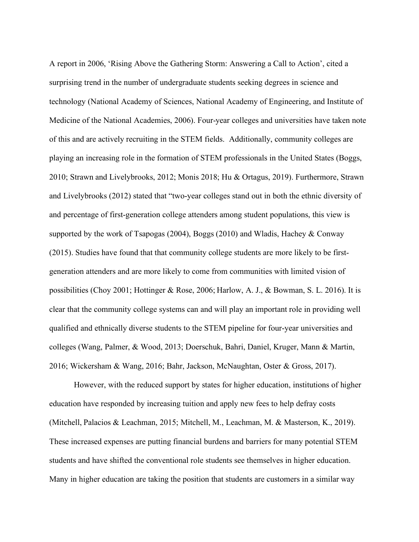A report in 2006, 'Rising Above the Gathering Storm: Answering a Call to Action', cited a surprising trend in the number of undergraduate students seeking degrees in science and technology (National Academy of Sciences, National Academy of Engineering, and Institute of Medicine of the National Academies, 2006). Four-year colleges and universities have taken note of this and are actively recruiting in the STEM fields. Additionally, community colleges are playing an increasing role in the formation of STEM professionals in the United States (Boggs, 2010; Strawn and Livelybrooks, 2012; Monis 2018; Hu & Ortagus, 2019). Furthermore, Strawn and Livelybrooks (2012) stated that "two-year colleges stand out in both the ethnic diversity of and percentage of first-generation college attenders among student populations, this view is supported by the work of Tsapogas (2004), Boggs (2010) and Wladis, Hachey & Conway (2015). Studies have found that that community college students are more likely to be firstgeneration attenders and are more likely to come from communities with limited vision of possibilities (Choy 2001; Hottinger & Rose, 2006; Harlow, A. J., & Bowman, S. L. 2016). It is clear that the community college systems can and will play an important role in providing well qualified and ethnically diverse students to the STEM pipeline for four-year universities and colleges (Wang, Palmer, & Wood, 2013; Doerschuk, Bahri, Daniel, Kruger, Mann & Martin, 2016; Wickersham & Wang, 2016; Bahr, Jackson, McNaughtan, Oster & Gross, 2017).

However, with the reduced support by states for higher education, institutions of higher education have responded by increasing tuition and apply new fees to help defray costs (Mitchell, Palacios & Leachman, 2015; Mitchell, M., Leachman, M. & Masterson, K., 2019). These increased expenses are putting financial burdens and barriers for many potential STEM students and have shifted the conventional role students see themselves in higher education. Many in higher education are taking the position that students are customers in a similar way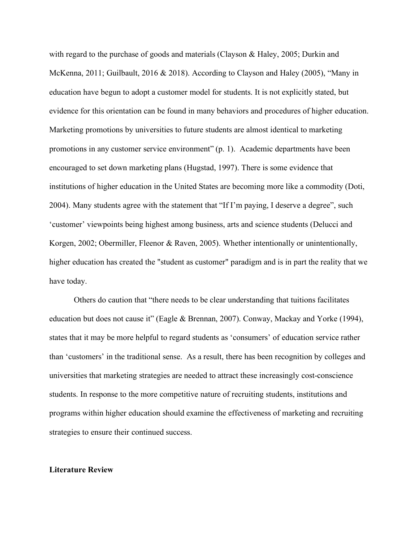with regard to the purchase of goods and materials (Clayson & Haley, 2005; Durkin and McKenna, 2011; Guilbault, 2016 & 2018). According to Clayson and Haley (2005), "Many in education have begun to adopt a customer model for students. It is not explicitly stated, but evidence for this orientation can be found in many behaviors and procedures of higher education. Marketing promotions by universities to future students are almost identical to marketing promotions in any customer service environment" (p. 1). Academic departments have been encouraged to set down marketing plans (Hugstad, 1997). There is some evidence that institutions of higher education in the United States are becoming more like a commodity (Doti, 2004). Many students agree with the statement that "If I'm paying, I deserve a degree", such 'customer' viewpoints being highest among business, arts and science students (Delucci and Korgen, 2002; Obermiller, Fleenor & Raven, 2005). Whether intentionally or unintentionally, higher education has created the "student as customer" paradigm and is in part the reality that we have today.

Others do caution that "there needs to be clear understanding that tuitions facilitates education but does not cause it" (Eagle & Brennan, 2007). Conway, Mackay and Yorke (1994), states that it may be more helpful to regard students as 'consumers' of education service rather than 'customers' in the traditional sense. As a result, there has been recognition by colleges and universities that marketing strategies are needed to attract these increasingly cost-conscience students. In response to the more competitive nature of recruiting students, institutions and programs within higher education should examine the effectiveness of marketing and recruiting strategies to ensure their continued success.

#### **Literature Review**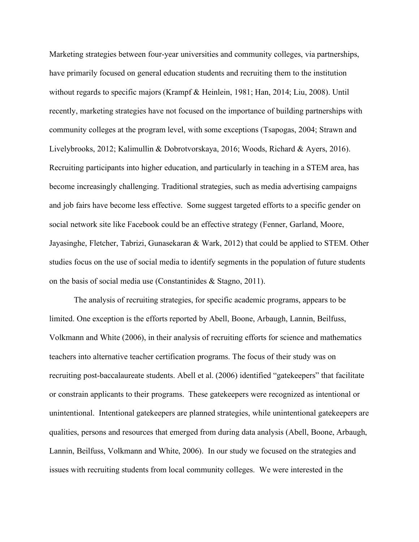Marketing strategies between four-year universities and community colleges, via partnerships, have primarily focused on general education students and recruiting them to the institution without regards to specific majors (Krampf & Heinlein, 1981; Han, 2014; Liu, 2008). Until recently, marketing strategies have not focused on the importance of building partnerships with community colleges at the program level, with some exceptions (Tsapogas, 2004; Strawn and Livelybrooks, 2012; Kalimullin & Dobrotvorskaya, 2016; Woods, Richard & Ayers, 2016). Recruiting participants into higher education, and particularly in teaching in a STEM area, has become increasingly challenging. Traditional strategies, such as media advertising campaigns and job fairs have become less effective. Some suggest targeted efforts to a specific gender on social network site like Facebook could be an effective strategy (Fenner, Garland, Moore, Jayasinghe, Fletcher, Tabrizi, Gunasekaran & Wark, 2012) that could be applied to STEM. Other studies focus on the use of social media to identify segments in the population of future students on the basis of social media use (Constantinides & Stagno, 2011).

The analysis of recruiting strategies, for specific academic programs, appears to be limited. One exception is the efforts reported by Abell, Boone, Arbaugh, Lannin, Beilfuss, Volkmann and White (2006), in their analysis of recruiting efforts for science and mathematics teachers into alternative teacher certification programs. The focus of their study was on recruiting post-baccalaureate students. Abell et al. (2006) identified "gatekeepers" that facilitate or constrain applicants to their programs. These gatekeepers were recognized as intentional or unintentional. Intentional gatekeepers are planned strategies, while unintentional gatekeepers are qualities, persons and resources that emerged from during data analysis (Abell, Boone, Arbaugh, Lannin, Beilfuss, Volkmann and White, 2006). In our study we focused on the strategies and issues with recruiting students from local community colleges. We were interested in the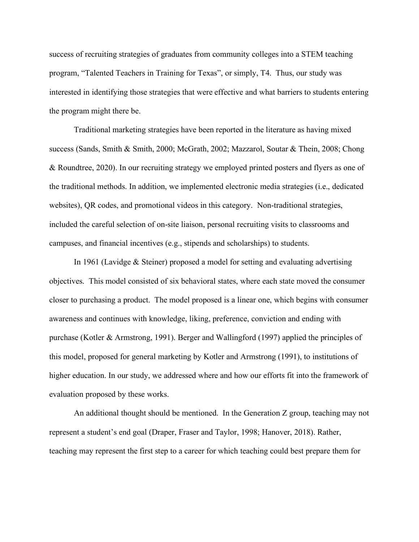success of recruiting strategies of graduates from community colleges into a STEM teaching program, "Talented Teachers in Training for Texas", or simply, T4. Thus, our study was interested in identifying those strategies that were effective and what barriers to students entering the program might there be.

Traditional marketing strategies have been reported in the literature as having mixed success (Sands, Smith & Smith, 2000; McGrath, 2002; Mazzarol, Soutar & Thein, 2008; Chong & Roundtree, 2020). In our recruiting strategy we employed printed posters and flyers as one of the traditional methods. In addition, we implemented electronic media strategies (i.e., dedicated websites), QR codes, and promotional videos in this category. Non-traditional strategies, included the careful selection of on-site liaison, personal recruiting visits to classrooms and campuses, and financial incentives (e.g., stipends and scholarships) to students.

In 1961 (Lavidge & Steiner) proposed a model for setting and evaluating advertising objectives. This model consisted of six behavioral states, where each state moved the consumer closer to purchasing a product. The model proposed is a linear one, which begins with consumer awareness and continues with knowledge, liking, preference, conviction and ending with purchase (Kotler & Armstrong, 1991). Berger and Wallingford (1997) applied the principles of this model, proposed for general marketing by Kotler and Armstrong (1991), to institutions of higher education. In our study, we addressed where and how our efforts fit into the framework of evaluation proposed by these works.

An additional thought should be mentioned. In the Generation Z group, teaching may not represent a student's end goal (Draper, Fraser and Taylor, 1998; Hanover, 2018). Rather, teaching may represent the first step to a career for which teaching could best prepare them for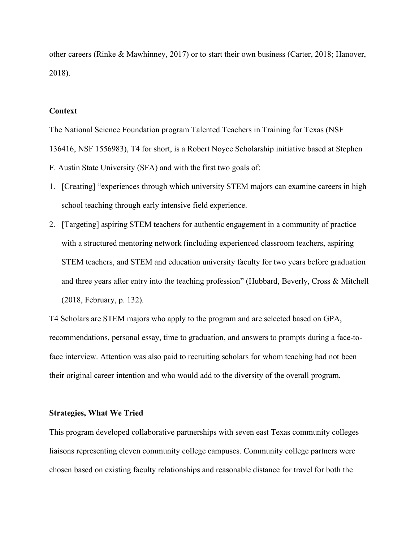other careers (Rinke & Mawhinney, 2017) or to start their own business (Carter, 2018; Hanover, 2018).

#### **Context**

The National Science Foundation program Talented Teachers in Training for Texas (NSF 136416, NSF 1556983), T4 for short, is a Robert Noyce Scholarship initiative based at Stephen F. Austin State University (SFA) and with the first two goals of:

- 1. [Creating] "experiences through which university STEM majors can examine careers in high school teaching through early intensive field experience.
- 2. [Targeting] aspiring STEM teachers for authentic engagement in a community of practice with a structured mentoring network (including experienced classroom teachers, aspiring STEM teachers, and STEM and education university faculty for two years before graduation and three years after entry into the teaching profession" (Hubbard, Beverly, Cross & Mitchell (2018, February, p. 132).

T4 Scholars are STEM majors who apply to the program and are selected based on GPA, recommendations, personal essay, time to graduation, and answers to prompts during a face-toface interview. Attention was also paid to recruiting scholars for whom teaching had not been their original career intention and who would add to the diversity of the overall program.

#### **Strategies, What We Tried**

This program developed collaborative partnerships with seven east Texas community colleges liaisons representing eleven community college campuses. Community college partners were chosen based on existing faculty relationships and reasonable distance for travel for both the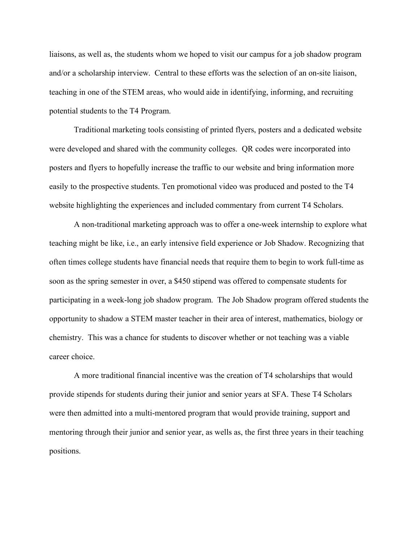liaisons, as well as, the students whom we hoped to visit our campus for a job shadow program and/or a scholarship interview. Central to these efforts was the selection of an on-site liaison, teaching in one of the STEM areas, who would aide in identifying, informing, and recruiting potential students to the T4 Program.

Traditional marketing tools consisting of printed flyers, posters and a dedicated website were developed and shared with the community colleges. QR codes were incorporated into posters and flyers to hopefully increase the traffic to our website and bring information more easily to the prospective students. Ten promotional video was produced and posted to the T4 website highlighting the experiences and included commentary from current T4 Scholars.

A non-traditional marketing approach was to offer a one-week internship to explore what teaching might be like, i.e., an early intensive field experience or Job Shadow. Recognizing that often times college students have financial needs that require them to begin to work full-time as soon as the spring semester in over, a \$450 stipend was offered to compensate students for participating in a week-long job shadow program. The Job Shadow program offered students the opportunity to shadow a STEM master teacher in their area of interest, mathematics, biology or chemistry. This was a chance for students to discover whether or not teaching was a viable career choice.

A more traditional financial incentive was the creation of T4 scholarships that would provide stipends for students during their junior and senior years at SFA. These T4 Scholars were then admitted into a multi-mentored program that would provide training, support and mentoring through their junior and senior year, as wells as, the first three years in their teaching positions.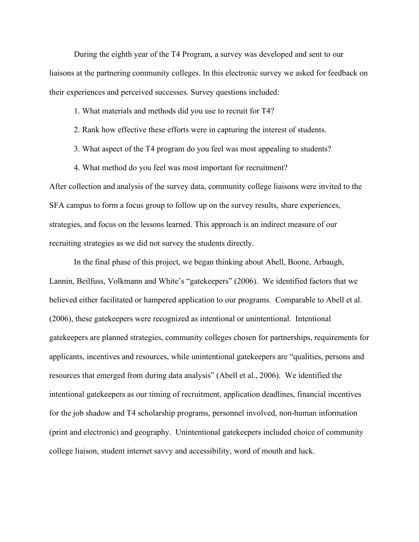During the eighth year of the T4 Program, a survey was developed and sent to our liaisons at the partnering community colleges. In this electronic survey we asked for feedback on their experiences and perceived successes. Survey questions included:

1. What materials and methods did you use to recruit for T4?

- 2. Rank how effective these efforts were in capturing the interest of students.
- 3. What aspect of the T4 program do you feel was most appealing to students?
- 4. What method do you feel was most important for recruitment?

After collection and analysis of the survey data, community college liaisons were invited to the SFA campus to form a focus group to follow up on the survey results, share experiences, strategies, and focus on the lessons learned. This approach is an indirect measure of our recruiting strategies as we did not survey the students directly.

In the final phase of this project, we began thinking about Abell, Boone, Arbaugh, Lannin, Beilfuss, Volkmann and White's "gatekeepers" (2006). We identified factors that we believed either facilitated or hampered application to our programs. Comparable to Abell et al. (2006), these gatekeepers were recognized as intentional or unintentional. Intentional gatekeepers are planned strategies, community colleges chosen for partnerships, requirements for applicants, incentives and resources, while unintentional gatekeepers are "qualities, persons and resources that emerged from during data analysis" (Abell et al., 2006). We identified the intentional gatekeepers as our timing of recruitment, application deadlines, financial incentives for the job shadow and T4 scholarship programs, personnel involved, non-human information (print and electronic) and geography. Unintentional gatekeepers included choice of community college liaison, student internet savvy and accessibility, word of mouth and luck.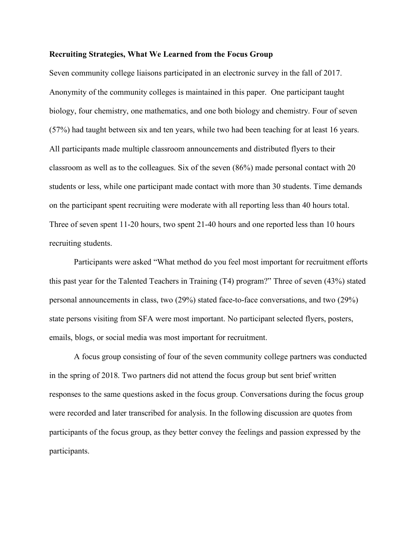#### **Recruiting Strategies, What We Learned from the Focus Group**

Seven community college liaisons participated in an electronic survey in the fall of 2017. Anonymity of the community colleges is maintained in this paper. One participant taught biology, four chemistry, one mathematics, and one both biology and chemistry. Four of seven (57%) had taught between six and ten years, while two had been teaching for at least 16 years. All participants made multiple classroom announcements and distributed flyers to their classroom as well as to the colleagues. Six of the seven (86%) made personal contact with 20 students or less, while one participant made contact with more than 30 students. Time demands on the participant spent recruiting were moderate with all reporting less than 40 hours total. Three of seven spent 11-20 hours, two spent 21-40 hours and one reported less than 10 hours recruiting students.

Participants were asked "What method do you feel most important for recruitment efforts this past year for the Talented Teachers in Training (T4) program?" Three of seven (43%) stated personal announcements in class, two (29%) stated face-to-face conversations, and two (29%) state persons visiting from SFA were most important. No participant selected flyers, posters, emails, blogs, or social media was most important for recruitment.

A focus group consisting of four of the seven community college partners was conducted in the spring of 2018. Two partners did not attend the focus group but sent brief written responses to the same questions asked in the focus group. Conversations during the focus group were recorded and later transcribed for analysis. In the following discussion are quotes from participants of the focus group, as they better convey the feelings and passion expressed by the participants.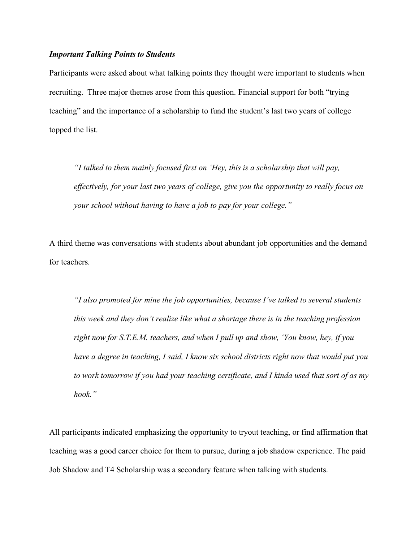#### *Important Talking Points to Students*

Participants were asked about what talking points they thought were important to students when recruiting. Three major themes arose from this question. Financial support for both "trying teaching" and the importance of a scholarship to fund the student's last two years of college topped the list.

*"I talked to them mainly focused first on 'Hey, this is a scholarship that will pay, effectively, for your last two years of college, give you the opportunity to really focus on your school without having to have a job to pay for your college."*

A third theme was conversations with students about abundant job opportunities and the demand for teachers.

*"I also promoted for mine the job opportunities, because I've talked to several students this week and they don't realize like what a shortage there is in the teaching profession right now for S.T.E.M. teachers, and when I pull up and show, 'You know, hey, if you have a degree in teaching, I said, I know six school districts right now that would put you to work tomorrow if you had your teaching certificate, and I kinda used that sort of as my hook."*

All participants indicated emphasizing the opportunity to tryout teaching, or find affirmation that teaching was a good career choice for them to pursue, during a job shadow experience. The paid Job Shadow and T4 Scholarship was a secondary feature when talking with students.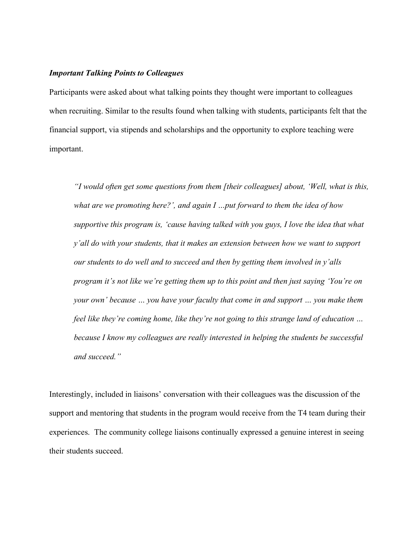#### *Important Talking Points to Colleagues*

Participants were asked about what talking points they thought were important to colleagues when recruiting. Similar to the results found when talking with students, participants felt that the financial support, via stipends and scholarships and the opportunity to explore teaching were important.

*"I would often get some questions from them [their colleagues] about, 'Well, what is this, what are we promoting here?', and again I …put forward to them the idea of how supportive this program is, 'cause having talked with you guys, I love the idea that what y'all do with your students, that it makes an extension between how we want to support our students to do well and to succeed and then by getting them involved in y'alls program it's not like we're getting them up to this point and then just saying 'You're on your own' because … you have your faculty that come in and support … you make them feel like they're coming home, like they're not going to this strange land of education … because I know my colleagues are really interested in helping the students be successful and succeed."*

Interestingly, included in liaisons' conversation with their colleagues was the discussion of the support and mentoring that students in the program would receive from the T4 team during their experiences. The community college liaisons continually expressed a genuine interest in seeing their students succeed.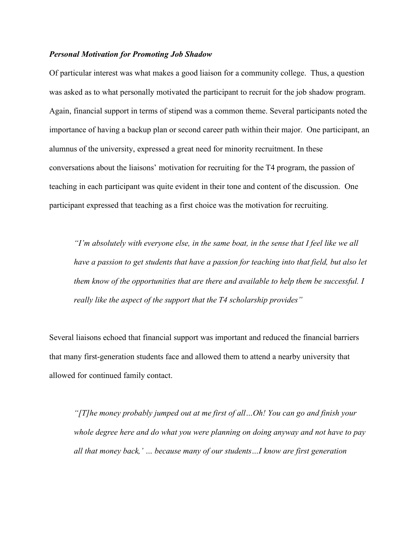#### *Personal Motivation for Promoting Job Shadow*

Of particular interest was what makes a good liaison for a community college. Thus, a question was asked as to what personally motivated the participant to recruit for the job shadow program. Again, financial support in terms of stipend was a common theme. Several participants noted the importance of having a backup plan or second career path within their major. One participant, an alumnus of the university, expressed a great need for minority recruitment. In these conversations about the liaisons' motivation for recruiting for the T4 program, the passion of teaching in each participant was quite evident in their tone and content of the discussion. One participant expressed that teaching as a first choice was the motivation for recruiting.

*"I'm absolutely with everyone else, in the same boat, in the sense that I feel like we all*  have a passion to get students that have a passion for teaching into that field, but also let *them know of the opportunities that are there and available to help them be successful. I really like the aspect of the support that the T4 scholarship provides"*

Several liaisons echoed that financial support was important and reduced the financial barriers that many first-generation students face and allowed them to attend a nearby university that allowed for continued family contact.

*"[T]he money probably jumped out at me first of all…Oh! You can go and finish your whole degree here and do what you were planning on doing anyway and not have to pay all that money back,' … because many of our students…I know are first generation*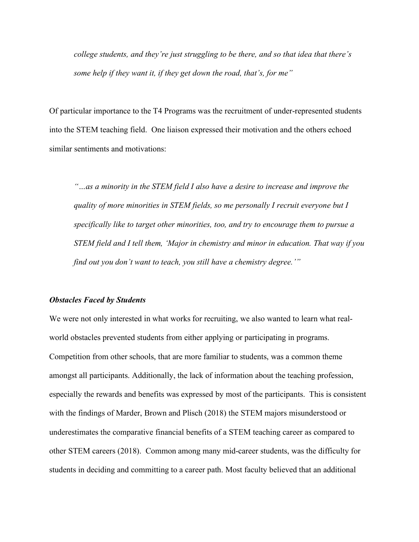*college students, and they're just struggling to be there, and so that idea that there's some help if they want it, if they get down the road, that's, for me"*

Of particular importance to the T4 Programs was the recruitment of under-represented students into the STEM teaching field. One liaison expressed their motivation and the others echoed similar sentiments and motivations:

*"…as a minority in the STEM field I also have a desire to increase and improve the quality of more minorities in STEM fields, so me personally I recruit everyone but I specifically like to target other minorities, too, and try to encourage them to pursue a STEM field and I tell them, 'Major in chemistry and minor in education. That way if you find out you don't want to teach, you still have a chemistry degree.'"*

#### *Obstacles Faced by Students*

We were not only interested in what works for recruiting, we also wanted to learn what realworld obstacles prevented students from either applying or participating in programs. Competition from other schools, that are more familiar to students, was a common theme amongst all participants. Additionally, the lack of information about the teaching profession, especially the rewards and benefits was expressed by most of the participants. This is consistent with the findings of Marder, Brown and Plisch (2018) the STEM majors misunderstood or underestimates the comparative financial benefits of a STEM teaching career as compared to other STEM careers (2018). Common among many mid-career students, was the difficulty for students in deciding and committing to a career path. Most faculty believed that an additional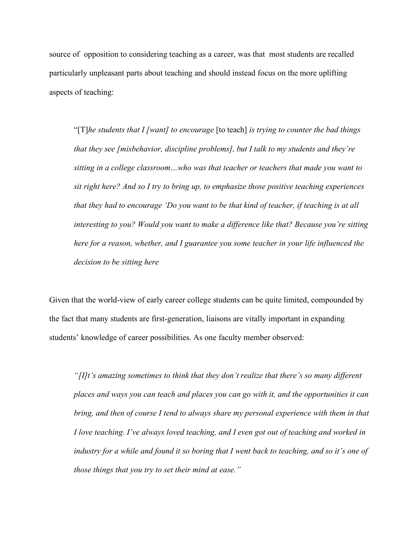source of opposition to considering teaching as a career, was that most students are recalled particularly unpleasant parts about teaching and should instead focus on the more uplifting aspects of teaching:

"[T]*he students that I [want] to encourage* [to teach] *is trying to counter the bad things that they see [misbehavior, discipline problems], but I talk to my students and they're sitting in a college classroom…who was that teacher or teachers that made you want to sit right here? And so I try to bring up, to emphasize those positive teaching experiences that they had to encourage 'Do you want to be that kind of teacher, if teaching is at all interesting to you? Would you want to make a difference like that? Because you're sitting here for a reason, whether, and I guarantee you some teacher in your life influenced the decision to be sitting here*

Given that the world-view of early career college students can be quite limited, compounded by the fact that many students are first-generation, liaisons are vitally important in expanding students' knowledge of career possibilities. As one faculty member observed:

*"[I]t's amazing sometimes to think that they don't realize that there's so many different places and ways you can teach and places you can go with it, and the opportunities it can bring, and then of course I tend to always share my personal experience with them in that I love teaching. I've always loved teaching, and I even got out of teaching and worked in industry for a while and found it so boring that I went back to teaching, and so it's one of those things that you try to set their mind at ease."*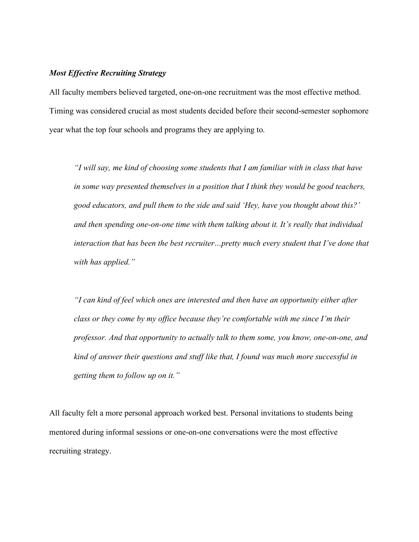#### *Most Effective Recruiting Strategy*

All faculty members believed targeted, one-on-one recruitment was the most effective method. Timing was considered crucial as most students decided before their second-semester sophomore year what the top four schools and programs they are applying to.

*"I will say, me kind of choosing some students that I am familiar with in class that have in some way presented themselves in a position that I think they would be good teachers, good educators, and pull them to the side and said 'Hey, have you thought about this?' and then spending one-on-one time with them talking about it. It's really that individual interaction that has been the best recruiter…pretty much every student that I've done that with has applied."*

*"I can kind of feel which ones are interested and then have an opportunity either after class or they come by my office because they're comfortable with me since I'm their professor. And that opportunity to actually talk to them some, you know, one-on-one, and kind of answer their questions and stuff like that, I found was much more successful in getting them to follow up on it."*

All faculty felt a more personal approach worked best. Personal invitations to students being mentored during informal sessions or one-on-one conversations were the most effective recruiting strategy.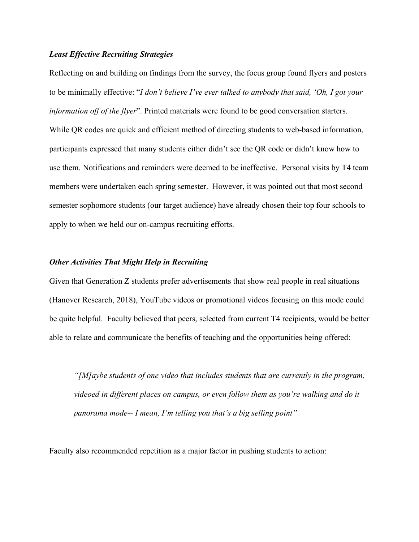#### *Least Effective Recruiting Strategies*

Reflecting on and building on findings from the survey, the focus group found flyers and posters to be minimally effective: "*I don't believe I've ever talked to anybody that said, 'Oh, I got your information off of the flyer*". Printed materials were found to be good conversation starters. While QR codes are quick and efficient method of directing students to web-based information, participants expressed that many students either didn't see the QR code or didn't know how to use them. Notifications and reminders were deemed to be ineffective. Personal visits by T4 team members were undertaken each spring semester. However, it was pointed out that most second semester sophomore students (our target audience) have already chosen their top four schools to apply to when we held our on-campus recruiting efforts.

## *Other Activities That Might Help in Recruiting*

Given that Generation Z students prefer advertisements that show real people in real situations (Hanover Research, 2018), YouTube videos or promotional videos focusing on this mode could be quite helpful. Faculty believed that peers, selected from current T4 recipients, would be better able to relate and communicate the benefits of teaching and the opportunities being offered:

*"[M]aybe students of one video that includes students that are currently in the program, videoed in different places on campus, or even follow them as you're walking and do it panorama mode-- I mean, I'm telling you that's a big selling point"*

Faculty also recommended repetition as a major factor in pushing students to action: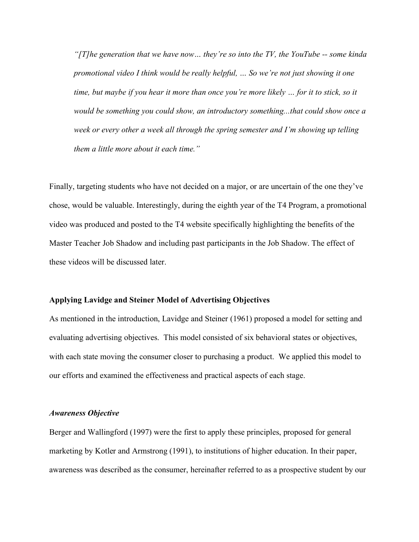*"[T]he generation that we have now… they're so into the TV, the YouTube -- some kinda promotional video I think would be really helpful, … So we're not just showing it one time, but maybe if you hear it more than once you're more likely … for it to stick, so it would be something you could show, an introductory something...that could show once a*  week or every other a week all through the spring semester and I'm showing up telling *them a little more about it each time."*

Finally, targeting students who have not decided on a major, or are uncertain of the one they've chose, would be valuable. Interestingly, during the eighth year of the T4 Program, a promotional video was produced and posted to the T4 website specifically highlighting the benefits of the Master Teacher Job Shadow and including past participants in the Job Shadow. The effect of these videos will be discussed later.

#### **Applying Lavidge and Steiner Model of Advertising Objectives**

As mentioned in the introduction, Lavidge and Steiner (1961) proposed a model for setting and evaluating advertising objectives. This model consisted of six behavioral states or objectives, with each state moving the consumer closer to purchasing a product. We applied this model to our efforts and examined the effectiveness and practical aspects of each stage.

#### *Awareness Objective*

Berger and Wallingford (1997) were the first to apply these principles, proposed for general marketing by Kotler and Armstrong (1991), to institutions of higher education. In their paper, awareness was described as the consumer, hereinafter referred to as a prospective student by our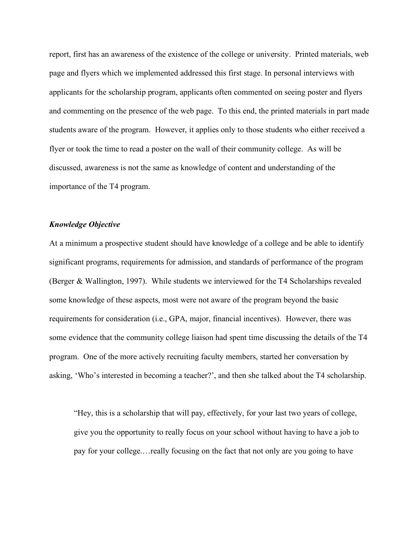report, first has an awareness of the existence of the college or university. Printed materials, web page and flyers which we implemented addressed this first stage. In personal interviews with applicants for the scholarship program, applicants often commented on seeing poster and flyers and commenting on the presence of the web page. To this end, the printed materials in part made students aware of the program. However, it applies only to those students who either received a flyer or took the time to read a poster on the wall of their community college. As will be discussed, awareness is not the same as knowledge of content and understanding of the importance of the T4 program.

#### *Knowledge Objective*

At a minimum a prospective student should have knowledge of a college and be able to identify significant programs, requirements for admission, and standards of performance of the program (Berger & Wallington, 1997). While students we interviewed for the T4 Scholarships revealed some knowledge of these aspects, most were not aware of the program beyond the basic requirements for consideration (i.e., GPA, major, financial incentives). However, there was some evidence that the community college liaison had spent time discussing the details of the T4 program. One of the more actively recruiting faculty members, started her conversation by asking, 'Who's interested in becoming a teacher?', and then she talked about the T4 scholarship.

"Hey, this is a scholarship that will pay, effectively, for your last two years of college, give you the opportunity to really focus on your school without having to have a job to pay for your college.…really focusing on the fact that not only are you going to have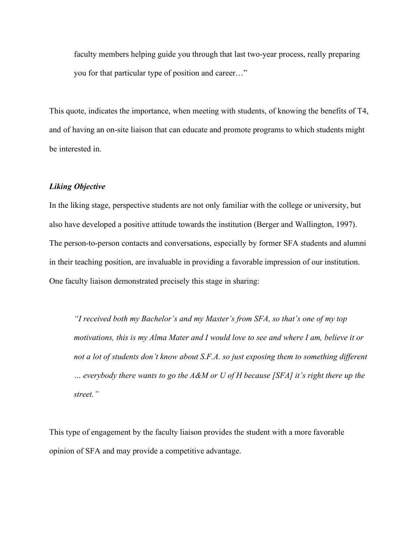faculty members helping guide you through that last two-year process, really preparing you for that particular type of position and career…"

This quote, indicates the importance, when meeting with students, of knowing the benefits of T4, and of having an on-site liaison that can educate and promote programs to which students might be interested in.

#### *Liking Objective*

In the liking stage, perspective students are not only familiar with the college or university, but also have developed a positive attitude towards the institution (Berger and Wallington, 1997). The person-to-person contacts and conversations, especially by former SFA students and alumni in their teaching position, are invaluable in providing a favorable impression of our institution. One faculty liaison demonstrated precisely this stage in sharing:

*"I received both my Bachelor's and my Master's from SFA, so that's one of my top motivations, this is my Alma Mater and I would love to see and where I am, believe it or not a lot of students don't know about S.F.A. so just exposing them to something different … everybody there wants to go the A&M or U of H because [SFA] it's right there up the street."*

This type of engagement by the faculty liaison provides the student with a more favorable opinion of SFA and may provide a competitive advantage.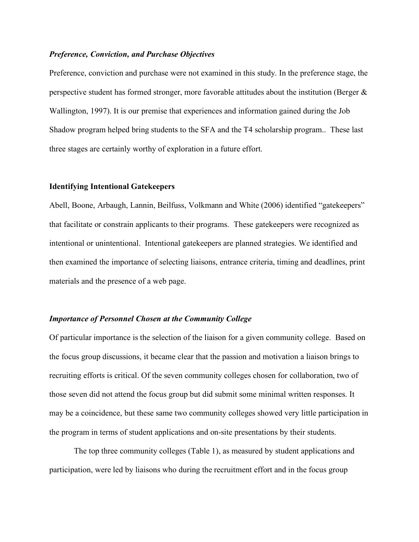#### *Preference, Conviction, and Purchase Objectives*

Preference, conviction and purchase were not examined in this study. In the preference stage, the perspective student has formed stronger, more favorable attitudes about the institution (Berger  $\&$ Wallington, 1997). It is our premise that experiences and information gained during the Job Shadow program helped bring students to the SFA and the T4 scholarship program.. These last three stages are certainly worthy of exploration in a future effort.

#### **Identifying Intentional Gatekeepers**

Abell, Boone, Arbaugh, Lannin, Beilfuss, Volkmann and White (2006) identified "gatekeepers" that facilitate or constrain applicants to their programs. These gatekeepers were recognized as intentional or unintentional. Intentional gatekeepers are planned strategies. We identified and then examined the importance of selecting liaisons, entrance criteria, timing and deadlines, print materials and the presence of a web page.

#### *Importance of Personnel Chosen at the Community College*

Of particular importance is the selection of the liaison for a given community college. Based on the focus group discussions, it became clear that the passion and motivation a liaison brings to recruiting efforts is critical. Of the seven community colleges chosen for collaboration, two of those seven did not attend the focus group but did submit some minimal written responses. It may be a coincidence, but these same two community colleges showed very little participation in the program in terms of student applications and on-site presentations by their students.

The top three community colleges (Table 1), as measured by student applications and participation, were led by liaisons who during the recruitment effort and in the focus group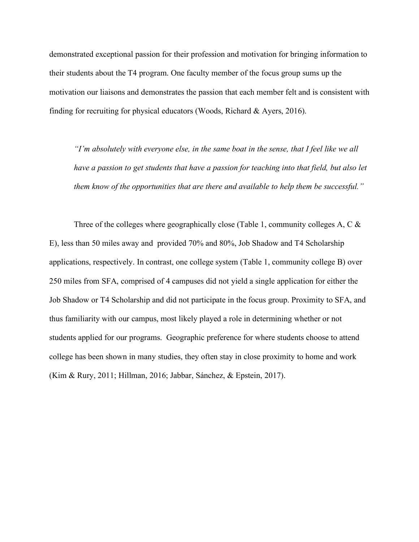demonstrated exceptional passion for their profession and motivation for bringing information to their students about the T4 program. One faculty member of the focus group sums up the motivation our liaisons and demonstrates the passion that each member felt and is consistent with finding for recruiting for physical educators (Woods, Richard & Ayers, 2016).

*"I'm absolutely with everyone else, in the same boat in the sense, that I feel like we all*  have a passion to get students that have a passion for teaching into that field, but also let *them know of the opportunities that are there and available to help them be successful."*

Three of the colleges where geographically close (Table 1, community colleges A, C & E), less than 50 miles away and provided 70% and 80%, Job Shadow and T4 Scholarship applications, respectively. In contrast, one college system (Table 1, community college B) over 250 miles from SFA, comprised of 4 campuses did not yield a single application for either the Job Shadow or T4 Scholarship and did not participate in the focus group. Proximity to SFA, and thus familiarity with our campus, most likely played a role in determining whether or not students applied for our programs. Geographic preference for where students choose to attend college has been shown in many studies, they often stay in close proximity to home and work (Kim & Rury, 2011; Hillman, 2016; Jabbar, Sánchez, & Epstein, 2017).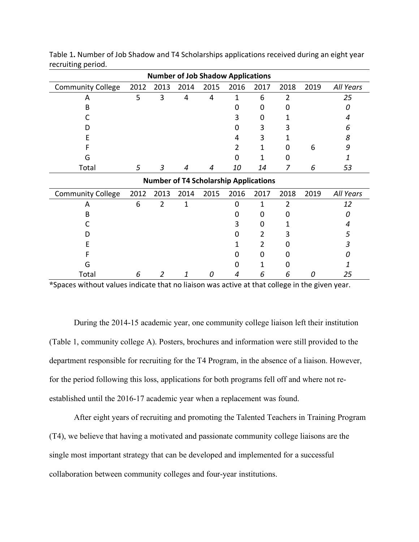| <b>Number of Job Shadow Applications</b>     |      |                |      |      |      |      |      |      |           |
|----------------------------------------------|------|----------------|------|------|------|------|------|------|-----------|
| <b>Community College</b>                     | 2012 | 2013           | 2014 | 2015 | 2016 | 2017 | 2018 | 2019 | All Years |
| A                                            | 5    | 3              | 4    | 4    | 1    | 6    | 2    |      | 25        |
| B                                            |      |                |      |      | 0    | 0    |      |      | Ω         |
|                                              |      |                |      |      |      | 0    |      |      | 4         |
| D                                            |      |                |      |      | 0    | 3    |      |      | 6         |
| E                                            |      |                |      |      |      | 3    |      |      | 8         |
|                                              |      |                |      |      | 2    | 1    |      | 6    | 9         |
| G                                            |      |                |      |      | 0    | 1    | O    |      | 1         |
| Total                                        | 5    | $\mathfrak{Z}$ | 4    | 4    | 10   | 14   | 7    | 6    | 53        |
| <b>Number of T4 Scholarship Applications</b> |      |                |      |      |      |      |      |      |           |
| <b>Community College</b>                     | 2012 | 2013           | 2014 | 2015 | 2016 | 2017 | 2018 | 2019 | All Years |
| A                                            | 6    | $\overline{2}$ | 1    |      | 0    | 1    | 2    |      | 12        |
| B                                            |      |                |      |      | 0    | 0    |      |      | Ω         |
|                                              |      |                |      |      | 3    | 0    |      |      | 4         |
| D                                            |      |                |      |      | 0    | 2    |      |      | 5         |
| E                                            |      |                |      |      |      | 2    |      |      |           |
|                                              |      |                |      |      |      | Ω    |      |      |           |
| G                                            |      |                |      |      |      |      |      |      |           |
|                                              |      |                |      |      |      |      |      |      |           |

Table 1**.** Number of Job Shadow and T4 Scholarships applications received during an eight year recruiting period.

**\***Spaces without values indicate that no liaison was active at that college in the given year.

During the 2014-15 academic year, one community college liaison left their institution (Table 1, community college A). Posters, brochures and information were still provided to the department responsible for recruiting for the T4 Program, in the absence of a liaison. However, for the period following this loss, applications for both programs fell off and where not reestablished until the 2016-17 academic year when a replacement was found.

After eight years of recruiting and promoting the Talented Teachers in Training Program (T4), we believe that having a motivated and passionate community college liaisons are the single most important strategy that can be developed and implemented for a successful collaboration between community colleges and four-year institutions.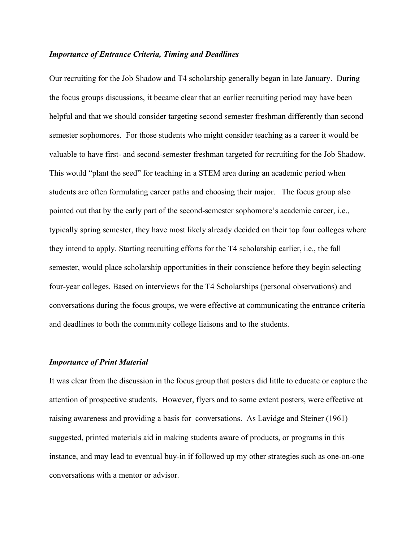#### *Importance of Entrance Criteria, Timing and Deadlines*

Our recruiting for the Job Shadow and T4 scholarship generally began in late January. During the focus groups discussions, it became clear that an earlier recruiting period may have been helpful and that we should consider targeting second semester freshman differently than second semester sophomores. For those students who might consider teaching as a career it would be valuable to have first- and second-semester freshman targeted for recruiting for the Job Shadow. This would "plant the seed" for teaching in a STEM area during an academic period when students are often formulating career paths and choosing their major. The focus group also pointed out that by the early part of the second-semester sophomore's academic career, i.e., typically spring semester, they have most likely already decided on their top four colleges where they intend to apply. Starting recruiting efforts for the T4 scholarship earlier, i.e., the fall semester, would place scholarship opportunities in their conscience before they begin selecting four-year colleges. Based on interviews for the T4 Scholarships (personal observations) and conversations during the focus groups, we were effective at communicating the entrance criteria and deadlines to both the community college liaisons and to the students.

#### *Importance of Print Material*

It was clear from the discussion in the focus group that posters did little to educate or capture the attention of prospective students. However, flyers and to some extent posters, were effective at raising awareness and providing a basis for conversations. As Lavidge and Steiner (1961) suggested, printed materials aid in making students aware of products, or programs in this instance, and may lead to eventual buy-in if followed up my other strategies such as one-on-one conversations with a mentor or advisor.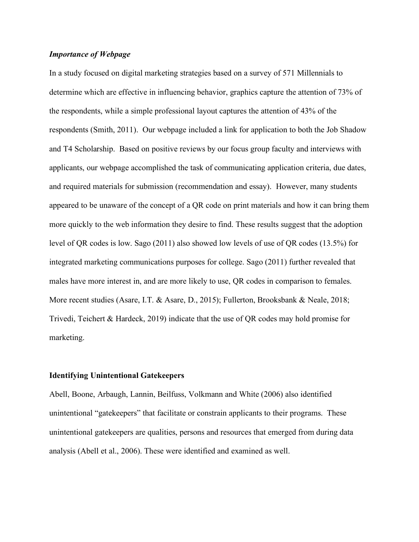## *Importance of Webpage*

In a study focused on digital marketing strategies based on a survey of 571 Millennials to determine which are effective in influencing behavior, graphics capture the attention of 73% of the respondents, while a simple professional layout captures the attention of 43% of the respondents (Smith, 2011). Our webpage included a link for application to both the Job Shadow and T4 Scholarship. Based on positive reviews by our focus group faculty and interviews with applicants, our webpage accomplished the task of communicating application criteria, due dates, and required materials for submission (recommendation and essay). However, many students appeared to be unaware of the concept of a QR code on print materials and how it can bring them more quickly to the web information they desire to find. These results suggest that the adoption level of QR codes is low. Sago (2011) also showed low levels of use of QR codes (13.5%) for integrated marketing communications purposes for college. Sago (2011) further revealed that males have more interest in, and are more likely to use, QR codes in comparison to females. More recent studies (Asare, I.T. & Asare, D., 2015); Fullerton, Brooksbank & Neale, 2018; Trivedi, Teichert & Hardeck, 2019) indicate that the use of QR codes may hold promise for marketing.

#### **Identifying Unintentional Gatekeepers**

Abell, Boone, Arbaugh, Lannin, Beilfuss, Volkmann and White (2006) also identified unintentional "gatekeepers" that facilitate or constrain applicants to their programs. These unintentional gatekeepers are qualities, persons and resources that emerged from during data analysis (Abell et al., 2006). These were identified and examined as well.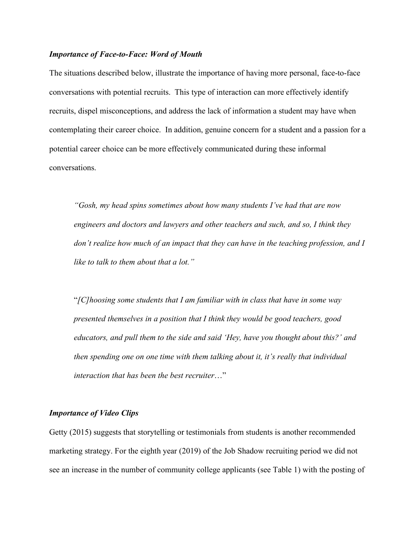#### *Importance of Face-to-Face: Word of Mouth*

The situations described below, illustrate the importance of having more personal, face-to-face conversations with potential recruits. This type of interaction can more effectively identify recruits, dispel misconceptions, and address the lack of information a student may have when contemplating their career choice. In addition, genuine concern for a student and a passion for a potential career choice can be more effectively communicated during these informal conversations.

*"Gosh, my head spins sometimes about how many students I've had that are now engineers and doctors and lawyers and other teachers and such, and so, I think they don't realize how much of an impact that they can have in the teaching profession, and I like to talk to them about that a lot."*

"*[C]hoosing some students that I am familiar with in class that have in some way presented themselves in a position that I think they would be good teachers, good educators, and pull them to the side and said 'Hey, have you thought about this?' and then spending one on one time with them talking about it, it's really that individual interaction that has been the best recruiter*…"

#### *Importance of Video Clips*

Getty (2015) suggests that storytelling or testimonials from students is another recommended marketing strategy. For the eighth year (2019) of the Job Shadow recruiting period we did not see an increase in the number of community college applicants (see Table 1) with the posting of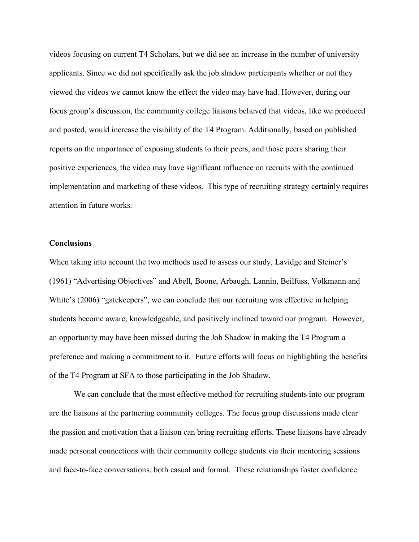videos focusing on current T4 Scholars, but we did see an increase in the number of university applicants. Since we did not specifically ask the job shadow participants whether or not they viewed the videos we cannot know the effect the video may have had. However, during our focus group's discussion, the community college liaisons believed that videos, like we produced and posted, would increase the visibility of the T4 Program. Additionally, based on published reports on the importance of exposing students to their peers, and those peers sharing their positive experiences, the video may have significant influence on recruits with the continued implementation and marketing of these videos. This type of recruiting strategy certainly requires attention in future works.

#### **Conclusions**

When taking into account the two methods used to assess our study, Lavidge and Steiner's (1961) "Advertising Objectives" and Abell, Boone, Arbaugh, Lannin, Beilfuss, Volkmann and White's (2006) "gatekeepers", we can conclude that our recruiting was effective in helping students become aware, knowledgeable, and positively inclined toward our program. However, an opportunity may have been missed during the Job Shadow in making the T4 Program a preference and making a commitment to it. Future efforts will focus on highlighting the benefits of the T4 Program at SFA to those participating in the Job Shadow.

We can conclude that the most effective method for recruiting students into our program are the liaisons at the partnering community colleges. The focus group discussions made clear the passion and motivation that a liaison can bring recruiting efforts. These liaisons have already made personal connections with their community college students via their mentoring sessions and face-to-face conversations, both casual and formal. These relationships foster confidence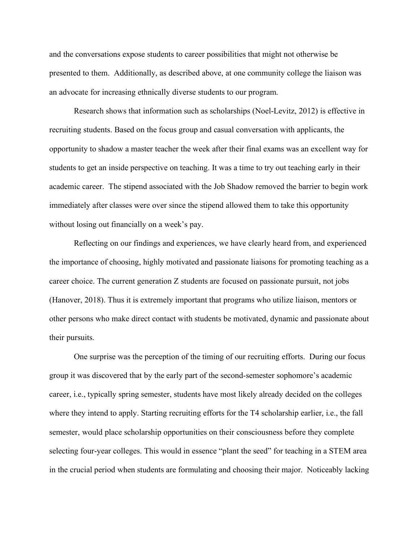and the conversations expose students to career possibilities that might not otherwise be presented to them. Additionally, as described above, at one community college the liaison was an advocate for increasing ethnically diverse students to our program.

Research shows that information such as scholarships (Noel-Levitz, 2012) is effective in recruiting students. Based on the focus group and casual conversation with applicants, the opportunity to shadow a master teacher the week after their final exams was an excellent way for students to get an inside perspective on teaching. It was a time to try out teaching early in their academic career. The stipend associated with the Job Shadow removed the barrier to begin work immediately after classes were over since the stipend allowed them to take this opportunity without losing out financially on a week's pay.

Reflecting on our findings and experiences, we have clearly heard from, and experienced the importance of choosing, highly motivated and passionate liaisons for promoting teaching as a career choice. The current generation Z students are focused on passionate pursuit, not jobs (Hanover, 2018). Thus it is extremely important that programs who utilize liaison, mentors or other persons who make direct contact with students be motivated, dynamic and passionate about their pursuits.

One surprise was the perception of the timing of our recruiting efforts. During our focus group it was discovered that by the early part of the second-semester sophomore's academic career, i.e., typically spring semester, students have most likely already decided on the colleges where they intend to apply. Starting recruiting efforts for the T4 scholarship earlier, i.e., the fall semester, would place scholarship opportunities on their consciousness before they complete selecting four-year colleges. This would in essence "plant the seed" for teaching in a STEM area in the crucial period when students are formulating and choosing their major. Noticeably lacking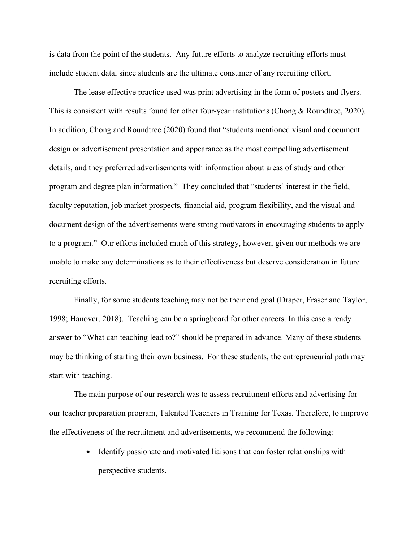is data from the point of the students. Any future efforts to analyze recruiting efforts must include student data, since students are the ultimate consumer of any recruiting effort.

The lease effective practice used was print advertising in the form of posters and flyers. This is consistent with results found for other four-year institutions (Chong & Roundtree, 2020). In addition, Chong and Roundtree (2020) found that "students mentioned visual and document design or advertisement presentation and appearance as the most compelling advertisement details, and they preferred advertisements with information about areas of study and other program and degree plan information." They concluded that "students' interest in the field, faculty reputation, job market prospects, financial aid, program flexibility, and the visual and document design of the advertisements were strong motivators in encouraging students to apply to a program." Our efforts included much of this strategy, however, given our methods we are unable to make any determinations as to their effectiveness but deserve consideration in future recruiting efforts.

Finally, for some students teaching may not be their end goal (Draper, Fraser and Taylor, 1998; Hanover, 2018). Teaching can be a springboard for other careers. In this case a ready answer to "What can teaching lead to?" should be prepared in advance. Many of these students may be thinking of starting their own business. For these students, the entrepreneurial path may start with teaching.

The main purpose of our research was to assess recruitment efforts and advertising for our teacher preparation program, Talented Teachers in Training for Texas. Therefore, to improve the effectiveness of the recruitment and advertisements, we recommend the following:

> • Identify passionate and motivated liaisons that can foster relationships with perspective students.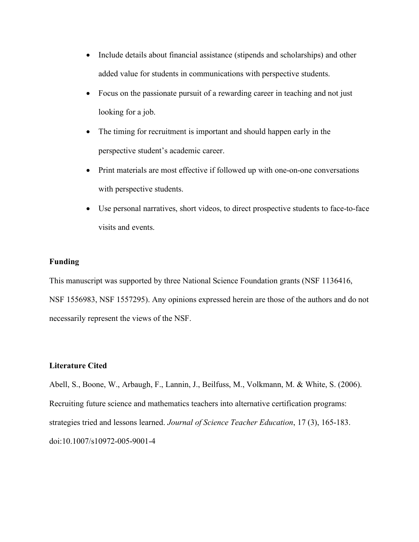- Include details about financial assistance (stipends and scholarships) and other added value for students in communications with perspective students.
- Focus on the passionate pursuit of a rewarding career in teaching and not just looking for a job.
- The timing for recruitment is important and should happen early in the perspective student's academic career.
- Print materials are most effective if followed up with one-on-one conversations with perspective students.
- Use personal narratives, short videos, to direct prospective students to face-to-face visits and events.

# **Funding**

This manuscript was supported by three National Science Foundation grants (NSF 1136416, NSF 1556983, NSF 1557295). Any opinions expressed herein are those of the authors and do not necessarily represent the views of the NSF.

# **Literature Cited**

Abell, S., Boone, W., Arbaugh, F., Lannin, J., Beilfuss, M., Volkmann, M. & White, S. (2006). Recruiting future science and mathematics teachers into alternative certification programs: strategies tried and lessons learned. *Journal of Science Teacher Education*, 17 (3), 165-183. doi:10.1007/s10972-005-9001-4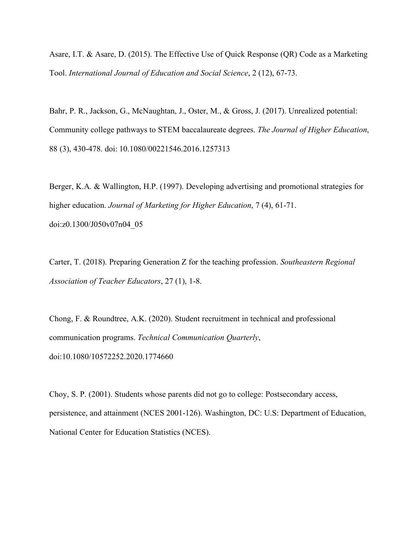Asare, I.T. & Asare, D. (2015). The Effective Use of Quick Response (QR) Code as a Marketing Tool. *International Journal of Education and Social Science*, 2 (12), 67-73.

Bahr, P. R., Jackson, G., McNaughtan, J., Oster, M., & Gross, J. (2017). Unrealized potential: Community college pathways to STEM baccalaureate degrees. *The Journal of Higher Education*, 88 (3), 430-478. doi: 10.1080/00221546.2016.1257313

Berger, K.A. & Wallington, H.P. (1997). Developing advertising and promotional strategies for higher education. *Journal of Marketing for Higher Education*, 7 (4), 61-71. doi:z0.1300/J050v07n04\_05

Carter, T. (2018). Preparing Generation Z for the teaching profession. *Southeastern Regional Association of Teacher Educators*, 27 (1), 1-8.

Chong, F. & Roundtree, A.K. (2020). Student recruitment in technical and professional communication programs. *Technical Communication Quarterly*, doi:10.1080/10572252.2020.1774660

Choy, S. P. (2001). Students whose parents did not go to college: Postsecondary access, persistence, and attainment (NCES 2001-126). Washington, DC: U.S: Department of Education, National Center for Education Statistics (NCES).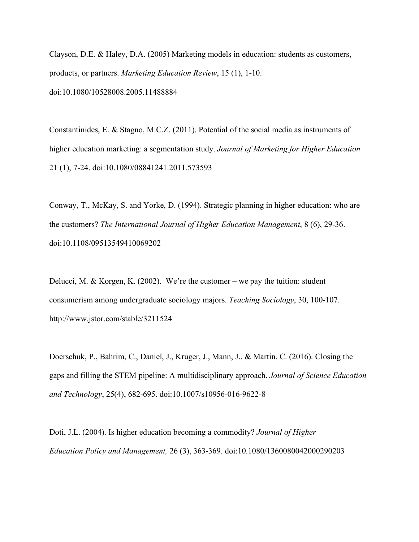Clayson, D.E. & Haley, D.A. (2005) Marketing models in education: students as customers, products, or partners. *Marketing Education Review*, 15 (1), 1-10. doi:10.1080/10528008.2005.11488884

Constantinides, E. & Stagno, M.C.Z. (2011). Potential of the social media as instruments of higher education marketing: a segmentation study. *Journal of Marketing for Higher Education*  21 (1), 7-24. doi:10.1080/08841241.2011.573593

Conway, T., McKay, S. and Yorke, D. (1994). Strategic planning in higher education: who are the customers? *The International Journal of Higher Education Management*, 8 (6), 29-36. doi:10.1108/09513549410069202

Delucci, M. & Korgen, K. (2002). We're the customer – we pay the tuition: student consumerism among undergraduate sociology majors. *Teaching Sociology*, 30, 100-107. http://www.jstor.com/stable/3211524

Doerschuk, P., Bahrim, C., Daniel, J., Kruger, J., Mann, J., & Martin, C. (2016). Closing the gaps and filling the STEM pipeline: A multidisciplinary approach. *Journal of Science Education and Technology*, 25(4), 682-695. doi:10.1007/s10956-016-9622-8

Doti, J.L. (2004). Is higher education becoming a commodity? *Journal of Higher Education Policy and Management,* 26 (3), 363-369. doi:10.1080/1360080042000290203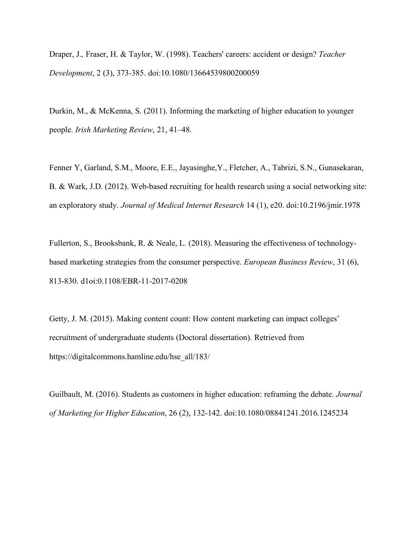Draper, J., Fraser, H. & Taylor, W. (1998). Teachers' careers: accident or design? *Teacher Development*, 2 (3), 373-385. doi:10.1080/13664539800200059

Durkin, M., & McKenna, S. (2011). Informing the marketing of higher education to younger people. *Irish Marketing Review*, 21, 41–48.

Fenner Y, Garland, S.M., Moore, E.E., Jayasinghe,Y., Fletcher, A., Tabrizi, S.N., Gunasekaran, B. & Wark, J.D. (2012). Web-based recruiting for health research using a social networking site: an exploratory study. *Journal of Medical Internet Research* 14 (1), e20. doi:10.2196/jmir.1978

Fullerton, S., Brooksbank, R. & Neale, L. (2018). Measuring the effectiveness of technologybased marketing strategies from the consumer perspective. *European Business Review*, 31 (6), 813-830. d1oi:0.1108/EBR-11-2017-0208

Getty, J. M. (2015). Making content count: How content marketing can impact colleges' recruitment of undergraduate students (Doctoral dissertation). Retrieved from https://digitalcommons.hamline.edu/hse\_all/183/

Guilbault, M. (2016). Students as customers in higher education: reframing the debate. *Journal of Marketing for Higher Education*, 26 (2), 132-142. doi:10.1080/08841241.2016.1245234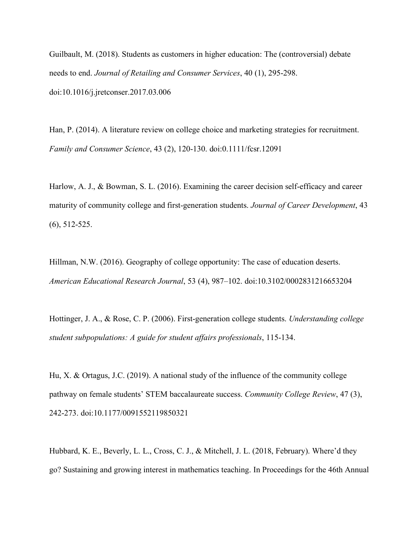Guilbault, M. (2018). Students as customers in higher education: The (controversial) debate needs to end. *Journal of Retailing and Consumer Services*, 40 (1), 295-298. doi:10.1016/j.jretconser.2017.03.006

Han, P. (2014). A literature review on college choice and marketing strategies for recruitment. *Family and Consumer Science*, 43 (2), 120-130. doi:0.1111/fcsr.12091

Harlow, A. J., & Bowman, S. L. (2016). Examining the career decision self-efficacy and career maturity of community college and first-generation students. *Journal of Career Development*, 43 (6), 512-525.

Hillman, N.W. (2016). Geography of college opportunity: The case of education deserts. *American Educational Research Journal*, 53 (4), 987–102. doi:10.3102/0002831216653204

Hottinger, J. A., & Rose, C. P. (2006). First-generation college students. *Understanding college student subpopulations: A guide for student affairs professionals*, 115-134.

Hu, X. & Ortagus, J.C. (2019). A national study of the influence of the community college pathway on female students' STEM baccalaureate success. *Community College Review*, 47 (3), 242-273. doi:10.1177/0091552119850321

Hubbard, K. E., Beverly, L. L., Cross, C. J., & Mitchell, J. L. (2018, February). Where'd they go? Sustaining and growing interest in mathematics teaching. In Proceedings for the 46th Annual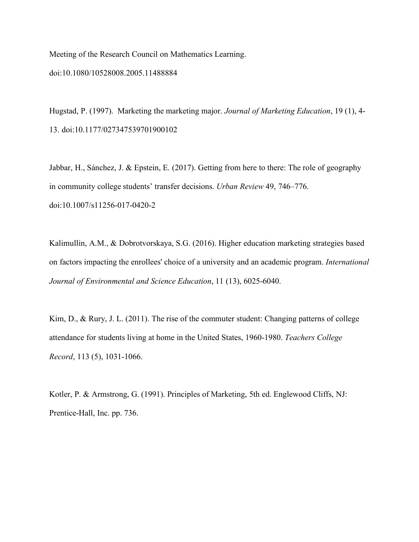Meeting of the Research Council on Mathematics Learning.

#### doi:10.1080/10528008.2005.11488884

Hugstad, P. (1997). Marketing the marketing major. *Journal of Marketing Education*, 19 (1), 4- 13. doi:10.1177/027347539701900102

Jabbar, H., Sánchez, J. & Epstein, E. (2017). Getting from here to there: The role of geography in community college students' transfer decisions. *Urban Review* 49, 746–776. doi:10.1007/s11256-017-0420-2

Kalimullin, A.M., & Dobrotvorskaya, S.G. (2016). Higher education marketing strategies based on factors impacting the enrollees' choice of a university and an academic program. *International Journal of Environmental and Science Education*, 11 (13), 6025-6040.

Kim, D., & Rury, J. L. (2011). The rise of the commuter student: Changing patterns of college attendance for students living at home in the United States, 1960-1980. *Teachers College Record*, 113 (5), 1031-1066.

Kotler, P. & Armstrong, G. (1991). Principles of Marketing, 5th ed. Englewood Cliffs, NJ: Prentice-Hall, Inc. pp. 736.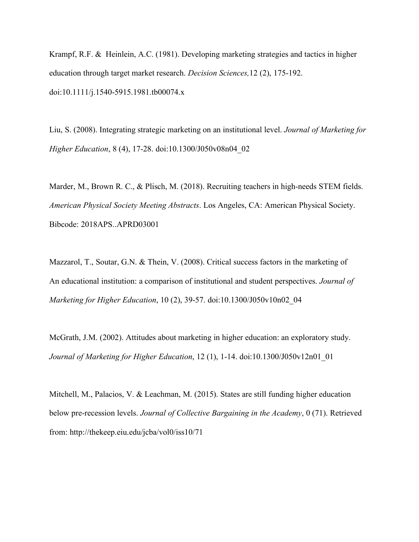Krampf, R.F. & Heinlein, A.C. (1981). Developing marketing strategies and tactics in higher education through target market research. *Decision Sciences,*12 (2), 175-192. doi:10.1111/j.1540-5915.1981.tb00074.x

Liu, S. (2008). Integrating strategic marketing on an institutional level. *Journal of Marketing for Higher Education*, 8 (4), 17-28. doi:10.1300/J050v08n04\_02

Marder, M., Brown R. C., & Plisch, M. (2018). Recruiting teachers in high-needs STEM fields. *American Physical Society Meeting Abstracts*. Los Angeles, CA: American Physical Society. Bibcode: 2018APS..APRD03001

Mazzarol, T., Soutar, G.N. & Thein, V. (2008). Critical success factors in the marketing of An educational institution: a comparison of institutional and student perspectives. *Journal of Marketing for Higher Education*, 10 (2), 39-57. doi:10.1300/J050v10n02\_04

McGrath, J.M. (2002). Attitudes about marketing in higher education: an exploratory study. *Journal of Marketing for Higher Education*, 12 (1), 1-14. doi:10.1300/J050v12n01\_01

Mitchell, M., Palacios, V. & Leachman, M. (2015). States are still funding higher education below pre-recession levels. *Journal of Collective Bargaining in the Academy*, 0 (71). Retrieved from: http://thekeep.eiu.edu/jcba/vol0/iss10/71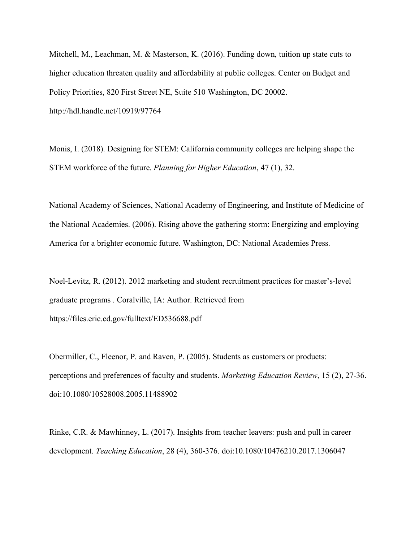Mitchell, M., Leachman, M. & Masterson, K. (2016). Funding down, tuition up state cuts to higher education threaten quality and affordability at public colleges. Center on Budget and Policy Priorities, 820 First Street NE, Suite 510 Washington, DC 20002. http://hdl.handle.net/10919/97764

Monis, I. (2018). Designing for STEM: California community colleges are helping shape the STEM workforce of the future. *Planning for Higher Education*, 47 (1), 32.

National Academy of Sciences, National Academy of Engineering, and Institute of Medicine of the National Academies. (2006). Rising above the gathering storm: Energizing and employing America for a brighter economic future. Washington, DC: National Academies Press.

Noel-Levitz, R. (2012). 2012 marketing and student recruitment practices for master's-level graduate programs . Coralville, IA: Author. Retrieved from https://files.eric.ed.gov/fulltext/ED536688.pdf

Obermiller, C., Fleenor, P. and Raven, P. (2005). Students as customers or products: perceptions and preferences of faculty and students. *Marketing Education Review*, 15 (2), 27-36. doi:10.1080/10528008.2005.11488902

Rinke, C.R. & Mawhinney, L. (2017). Insights from teacher leavers: push and pull in career development. *Teaching Education*, 28 (4), 360-376. doi:10.1080/10476210.2017.1306047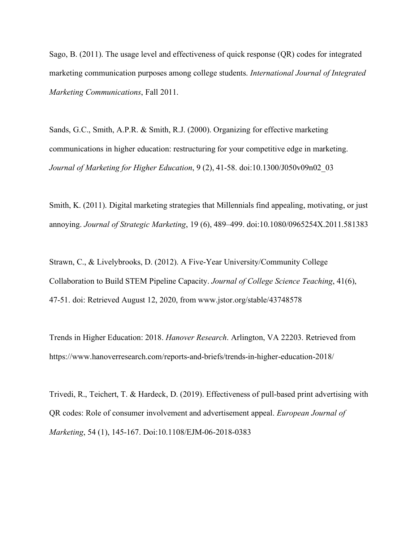Sago, B. (2011). The usage level and effectiveness of quick response (QR) codes for integrated marketing communication purposes among college students. *International Journal of Integrated Marketing Communications*, Fall 2011.

Sands, G.C., Smith, A.P.R. & Smith, R.J. (2000). Organizing for effective marketing communications in higher education: restructuring for your competitive edge in marketing. *Journal of Marketing for Higher Education*, 9 (2), 41-58. doi:10.1300/J050v09n02\_03

Smith, K. (2011). Digital marketing strategies that Millennials find appealing, motivating, or just annoying. *Journal of Strategic Marketing*, 19 (6), 489–499. doi:10.1080/0965254X.2011.581383

Strawn, C., & Livelybrooks, D. (2012). A Five-Year University/Community College Collaboration to Build STEM Pipeline Capacity. *Journal of College Science Teaching*, 41(6), 47-51. doi: Retrieved August 12, 2020, from www.jstor.org/stable/43748578

Trends in Higher Education: 2018. *Hanover Research*. Arlington, VA 22203. Retrieved from https://www.hanoverresearch.com/reports-and-briefs/trends-in-higher-education-2018/

Trivedi, R., Teichert, T. & Hardeck, D. (2019). Effectiveness of pull-based print advertising with QR codes: Role of consumer involvement and advertisement appeal. *European Journal of Marketing*, 54 (1), 145-167. Doi:10.1108/EJM-06-2018-0383